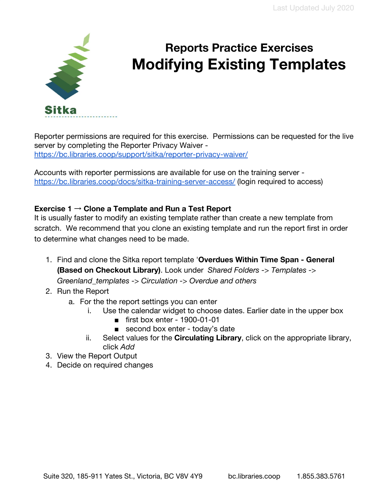

# **Reports Practice Exercises Modifying Existing Templates**

Reporter permissions are required for this exercise. Permissions can be requested for the live server by completing the Reporter Privacy Waiver <https://bc.libraries.coop/support/sitka/reporter-privacy-waiver/>

Accounts with reporter permissions are available for use on the training server <https://bc.libraries.coop/docs/sitka-training-server-access/> (login required to access)

## **Exercise 1** → **Clone a Template and Run a Test Report**

It is usually faster to modify an existing template rather than create a new template from scratch. We recommend that you clone an existing template and run the report first in order to determine what changes need to be made.

- 1. Find and clone the Sitka report template '**Overdues Within Time Span General (Based on Checkout Library)**. Look under *Shared Folders -> Templates -> Greenland\_templates -> Circulation -> Overdue and others*
- 2. Run the Report
	- a. For the the report settings you can enter
		- i. Use the calendar widget to choose dates. Earlier date in the upper box
			- first box enter 1900-01-01
			- second box enter today's date
		- ii. Select values for the **Circulating Library**, click on the appropriate library, click *Add*
- 3. View the Report Output
- 4. Decide on required changes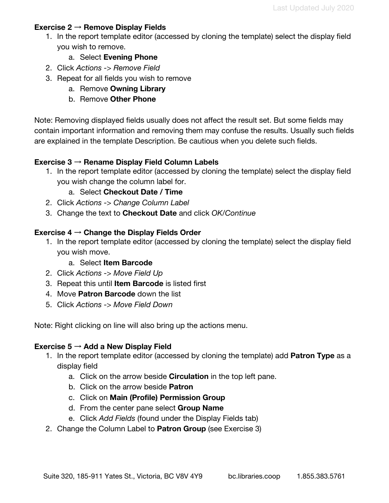#### **Exercise 2** → **Remove Display Fields**

- 1. In the report template editor (accessed by cloning the template) select the display field you wish to remove.
	- a. Select **Evening Phone**
- 2. Click *Actions -> Remove Field*
- 3. Repeat for all fields you wish to remove
	- a. Remove **Owning Library**
	- b. Remove **Other Phone**

Note: Removing displayed fields usually does not affect the result set. But some fields may contain important information and removing them may confuse the results. Usually such fields are explained in the template Description. Be cautious when you delete such fields.

### **Exercise 3** → **Rename Display Field Column Labels**

- 1. In the report template editor (accessed by cloning the template) select the display field you wish change the column label for.
	- a. Select **Checkout Date / Time**
- 2. Click *Actions -> Change Column Label*
- 3. Change the text to **Checkout Date** and click *OK/Continue*

#### **Exercise 4** → **Change the Display Fields Order**

- 1. In the report template editor (accessed by cloning the template) select the display field you wish move.
	- a. Select **Item Barcode**
- 2. Click *Actions -> Move Field Up*
- 3. Repeat this until **Item Barcode** is listed first
- 4. Move **Patron Barcode** down the list
- 5. Click *Actions -> Move Field Down*

Note: Right clicking on line will also bring up the actions menu.

#### **Exercise 5** → **Add a New Display Field**

- 1. In the report template editor (accessed by cloning the template) add **Patron Type** as a display field
	- a. Click on the arrow beside **Circulation** in the top left pane.
	- b. Click on the arrow beside **Patron**
	- c. Click on **Main (Profile) Permission Group**
	- d. From the center pane select **Group Name**
	- e. Click *Add Fields* (found under the Display Fields tab)
- 2. Change the Column Label to **Patron Group** (see Exercise 3)